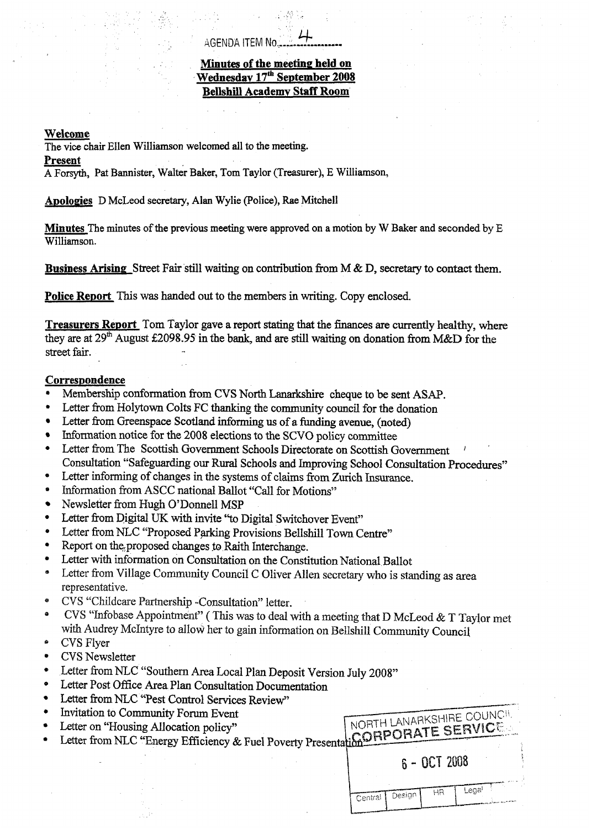# + AGENDA ITEM No., **l.-.l..........** --.

## **Minutes of the meeting held on Wednesday 17fh September 2008 Bellshill Academv Staff Room**

## **Welcome**

The vice **chair** Ellen Williamson welcomed all to the meeting.

## **Present**

**A** Forsyth, Pat Bannister, Walter Baker, Tom Taylor (Treasurer), E Williamson,

**ADoloPies** D McLeod secretary, **Alan** Wylie (Police), Rae Mitchell

**Minutes** The minutes of the previous meeting were approved on a **motion by W** Baker and seconded by E Williamson.

**Business Arising.** Street Fair still waiting on contribution **fiom M** & D, secretary to contact them.

**Police Report** This was handed out to the members in writing. Copy enclosed.

**Treasurers Report** Tom Taylor gave a report stating that the **finances** are currently healthy, where they are at 29\* August E2098.95 in the bank, and are **still** waiting on donation fiom M&D **for** the street fair.

## **Correspondence**

- **e**  Membership conformation **from CVS** North Lanarkshire cheque to be sent **ASAP.**
- **e**  Letter from Holytown Colts FC thanking the community council for the donation
- Letter fiom Greenspace Scotland informing us of a funding avenue, **(noted)**   $\bullet$
- Information notice for the 2008 elections to the SCVO policy committee  $\bullet$
- **e**  Letter from The Scottish Government Schools Directorate on Scottish Government Consultation "Safeguarding our Rural Schools and Improving School Consultation Procedures"
- *0*  Letter informing of changes in the systems of claims from Zurich **Insurance.**
- *0*  Information from ASCC national Ballot "Call for Motions"
- Newsletter from Hugh O'Donnell MSP  $\bullet$
- *0*  Letter fiom **Digital** UK with invite "to Digital Switchover Event"
- **e**  Letter from NLC "Proposed Parking Provisions Bellshill Town Centre"
- **e**  Report on the proposed changes to Raith Interchange.
- **e**  Letter with information on Consultation on the Constitution National Ballot
- (t Letter from Village Community Council C Oliver Allen secretary who is standing as area representative.
- **e**  CVS "Childcare Partnership -Consultation" letter.
- *0*  CVS "Infobase Appointment" (This was to deal with a meeting that D McLeod & T Taylor met with Audrey McIntyre to **allow** her to gain information on Bellshill Community Council
- *BI*  CVS Flyer
- **e**  CVS Newsletter
- **e**  Letter from NLC "Southern Area Local Plan Deposit Version July 2008"
- **e**  Letter Post Ofice Area Plan Consultation Documentation
- **e**  Letter from NLC "Pest Control Services Review"
- **e**  Invitation to Community Fom Event
- *0*  Letter on "Housing Allocation policy"
- **e**  Letter from NLC "Energy Efficiency & Fuel Poverty Presenta

| NORTH LANARKSHIRE COUNCIL<br><b>CORPORATE SERVICE.</b> |
|--------------------------------------------------------|
| 6 - OCT 2008                                           |
| Legal T<br>HR I<br>Central Design                      |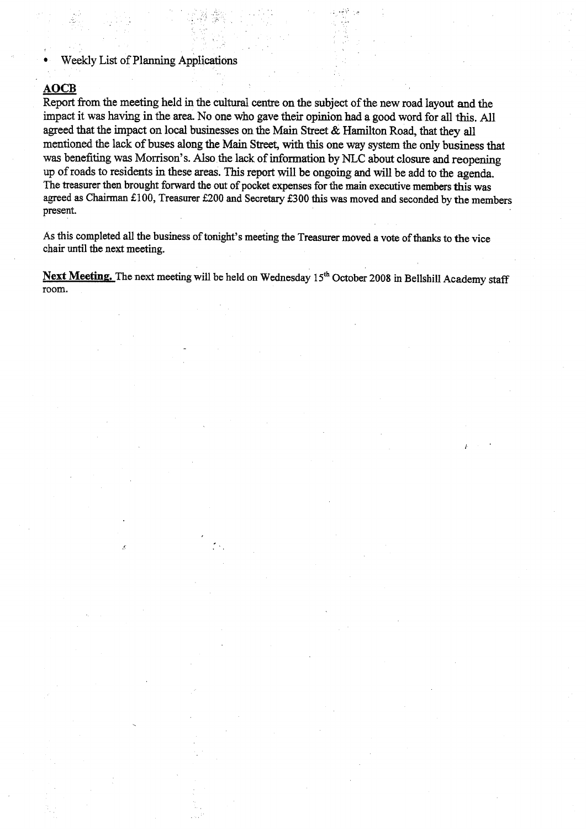Weekly List of Planning Applications

• Weekly List of Planning Applications<br> **AOCB**<br>
Report from the meeting held in the cultural centre on the subject of the new road layout and the<br>
impact it was beying in the gree. No one who gave their opinion held a good impact it **was** having in the **area.** No one who gave their opinion had a good word for all this. All agreed that the impact on local businesses on the Main Street & Hamilton Road, that they all mentioned **the** lack of **buses** along the **Main** Street, with this one **way** system the only business that was benefiting **was** Morrison's. Also the **lack** of information by NLC about closure and reopening up of roads to residents in these areas. This report will be ongoing **and will** be add to the agenda. The treasurer then brought forward the out of pocket expenses for the main executive members this **was**  agreed **as** Chairman €100, Treasurer €200 and Secretary €300 this **was** moved and seconded by the members present.

.- .

As this completed all the business of tonight's meeting the Treasurer moved **a** vote of **thanks** to the vice chair until the next meeting.

Next Meeting. The next meeting will be held on Wednesday 15<sup>th</sup> October 2008 in Bellshill Academy staff room.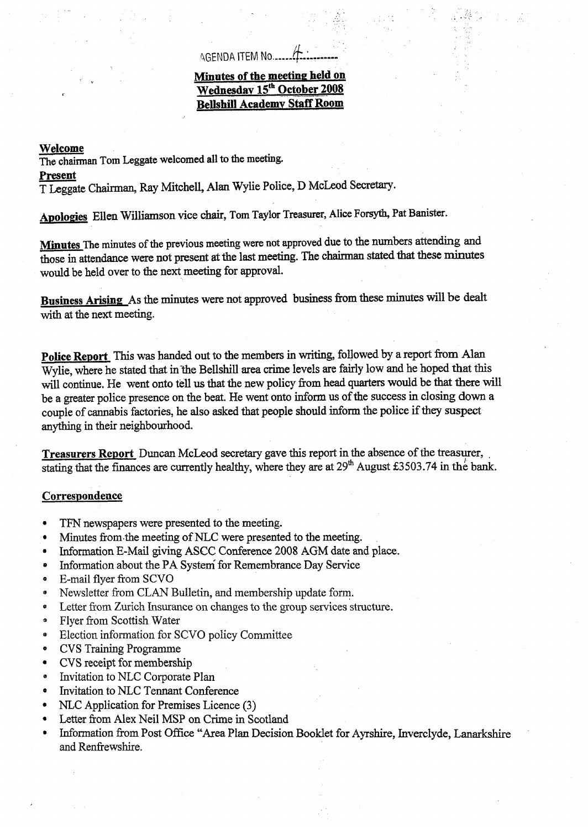## riGENDA ITEM **No** *.\_\_\_\_I* **&:l\_....\_.** ..

## **Minutes of the meeting held on Wednesday 15<sup>th</sup> October 2008 Bellshill Academv Staff Room**

#### **Welcome**

The **chairman** Tom **Leggate welcomed all to the meeting.** 

#### **Present**

T Leggate Chairman, Ray Mitchell, Alan Wylie Police, D McLeod Secretary.

Apologies Ellen Williamson vice chair, Tom Taylor Treasurer, Alice Forsyth, Pat Banister.

**Minutes The minutes of the previous meeting were not approved** due to the numbers attending and those in attendance were not present at the last **meeting.** The chairman stated that these minutes would be held over to the next **meeting** for approval.

**Business Arising** As the minutes were not approved business from these minutes will be dealt with at the next meeting.

**Police Report** This was handed out to the members in writing, followed by a report from Alan Wylie, where he stated that in the Bellshill area crime levels are fairly low and he hoped that this will continue. He went onto tell **us** that the new policy **from** head quarters would be that **there** will be a greater police presence on the beat. He went onto inform **us** of the success in closing **down** a couple of cannabis factories, he also asked that people should inform the police **if they suspect**  anything in their neighbourhood.

**Treasurers Report** Duncan McLeod secretary gave this report in the absence of the treasurer, . stating that the finances are currently healthy, where they are at 29<sup>th</sup> August £3503.74 in the bank.

#### Correspondence

- **TFN** newspapers were presented to the meeting.  $\bullet$
- Minutes from the meeting of NLC were presented to the meeting.  $\bullet$
- Information E-Mail giving **ASCC** Conference 2008 **AGM** date and place.  $\bullet$
- Information about the **PA** System for Remembrance Day Service  $\bullet$
- $\bullet$ E-mail flyer from SCVO
- Newsletter from CLAN Bulletin, and membership update form.  $\bullet$
- Letter from Zurich Insurance on changes to the group services structure.  $\bullet$
- Flyer from Scottish Water o,
- $\bullet$ Election information for SCVO policy Committee
- CVS Training Programme  $\bullet$
- CVS receipt for membership  $\bullet$
- Invitation to NLC Corporate Plan  $\bullet$
- Invitation to NLC Tennant Conference  $\bullet$
- **WLC** Application for Premises Licence **(3)**   $\bullet$
- Letter from **Alex** Neil **MSP** on Crime in Scotland  $\bullet$
- $\bullet$ Information from Post Office "Area Plan Decision Booklet for Ayrshire, Inverclyde, Lanarkshire and Renfrewshire.